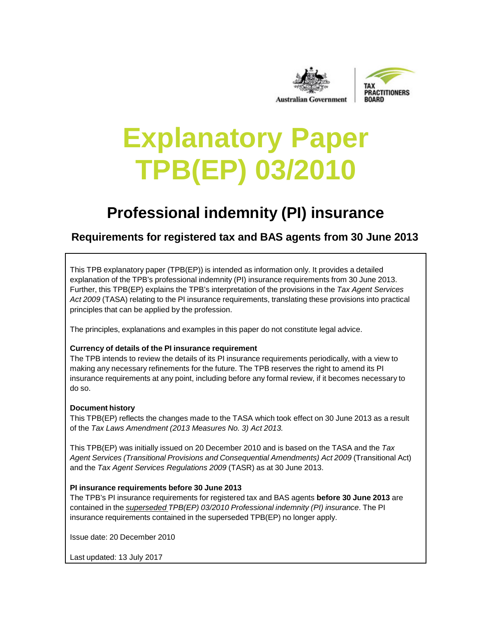



# **Explanatory Paper TPB(EP) 03/2010**

# **Professional indemnity (PI) insurance**

# **Requirements for registered tax and BAS agents from 30 June 2013**

This TPB explanatory paper (TPB(EP)) is intended as information only. It provides a detailed explanation of the TPB's professional indemnity (PI) insurance requirements from 30 June 2013. Further, this TPB(EP) explains the TPB's interpretation of the provisions in the *Tax Agent Services Act 2009* (TASA) relating to the PI insurance requirements, translating these provisions into practical principles that can be applied by the profession.

The principles, explanations and examples in this paper do not constitute legal advice.

#### **Currency of details of the PI insurance requirement**

The TPB intends to review the details of its PI insurance requirements periodically, with a view to making any necessary refinements for the future. The TPB reserves the right to amend its PI insurance requirements at any point, including before any formal review, if it becomes necessary to do so.

#### **Document history**

This TPB(EP) reflects the changes made to the TASA which took effect on 30 June 2013 as a result of the *Tax Laws Amendment (2013 Measures No. 3) Act 2013.*

This TPB(EP) was initially issued on 20 December 2010 and is based on the TASA and the *Tax Agent Services (Transitional Provisions and Consequential Amendments) Act 2009* (Transitional Act) and the *Tax Agent Services Regulations 2009* (TASR) as at 30 June 2013.

#### **PI insurance requirements before 30 June 2013**

The TPB's PI insurance requirements for registered tax and BAS agents **before 30 June 2013** are contained in the *superseded TPB(EP) 03/2010 Professional indemnity (PI) insurance*. The PI insurance requirements contained in the superseded TPB(EP) no longer apply.

Issue date: 20 December 2010

Last updated: 13 July 2017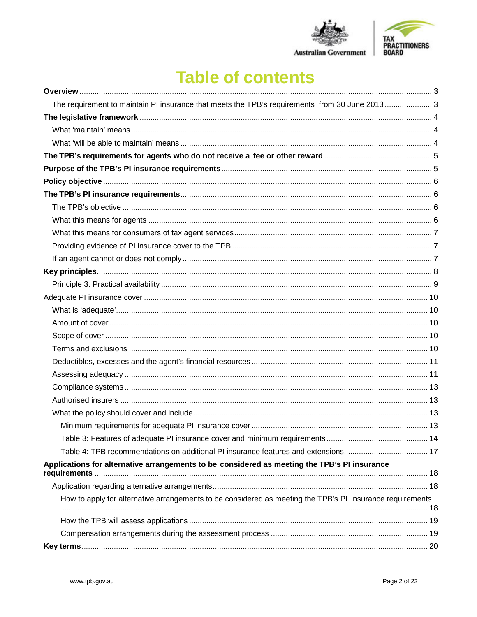

# **Table of contents**

| The requirement to maintain PI insurance that meets the TPB's requirements from 30 June 2013 3            |  |
|-----------------------------------------------------------------------------------------------------------|--|
|                                                                                                           |  |
|                                                                                                           |  |
|                                                                                                           |  |
|                                                                                                           |  |
|                                                                                                           |  |
|                                                                                                           |  |
|                                                                                                           |  |
|                                                                                                           |  |
|                                                                                                           |  |
|                                                                                                           |  |
|                                                                                                           |  |
|                                                                                                           |  |
|                                                                                                           |  |
|                                                                                                           |  |
|                                                                                                           |  |
|                                                                                                           |  |
|                                                                                                           |  |
|                                                                                                           |  |
|                                                                                                           |  |
|                                                                                                           |  |
|                                                                                                           |  |
|                                                                                                           |  |
|                                                                                                           |  |
|                                                                                                           |  |
|                                                                                                           |  |
|                                                                                                           |  |
|                                                                                                           |  |
| Applications for alternative arrangements to be considered as meeting the TPB's PI insurance              |  |
|                                                                                                           |  |
| How to apply for alternative arrangements to be considered as meeting the TPB's PI insurance requirements |  |
|                                                                                                           |  |
|                                                                                                           |  |
|                                                                                                           |  |
|                                                                                                           |  |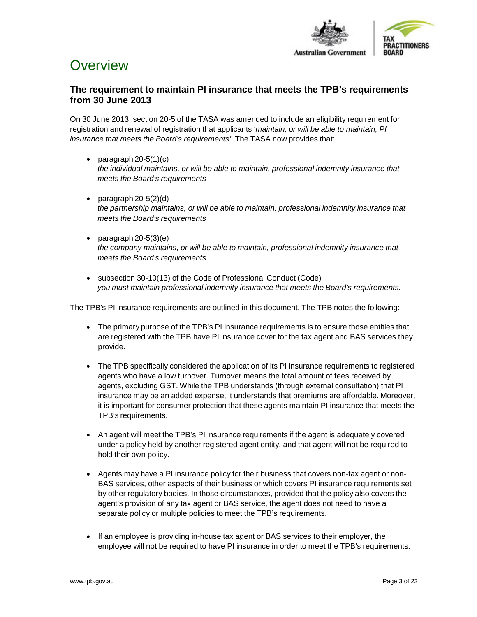

# <span id="page-2-0"></span>**Overview**

# <span id="page-2-1"></span>**The requirement to maintain PI insurance that meets the TPB's requirements from 30 June 2013**

On 30 June 2013, section 20-5 of the TASA was amended to include an eligibility requirement for registration and renewal of registration that applicants '*maintain, or will be able to maintain, PI insurance that meets the Board's requirements'*. The TASA now provides that:

- paragraph  $20-5(1)(c)$ *the individual maintains, or will be able to maintain, professional indemnity insurance that meets the Board's requirements*
- paragraph 20-5(2)(d) *the partnership maintains, or will be able to maintain, professional indemnity insurance that meets the Board's requirements*
- paragraph 20-5(3)(e) *the company maintains, or will be able to maintain, professional indemnity insurance that meets the Board's requirements*
- subsection 30-10(13) of the Code of Professional Conduct (Code) *you must maintain professional indemnity insurance that meets the Board's requirements.*

The TPB's PI insurance requirements are outlined in this document. The TPB notes the following:

- The primary purpose of the TPB's PI insurance requirements is to ensure those entities that are registered with the TPB have PI insurance cover for the tax agent and BAS services they provide.
- The TPB specifically considered the application of its PI insurance requirements to registered agents who have a low turnover. Turnover means the total amount of fees received by agents, excluding GST. While the TPB understands (through external consultation) that PI insurance may be an added expense, it understands that premiums are affordable. Moreover, it is important for consumer protection that these agents maintain PI insurance that meets the TPB's requirements.
- An agent will meet the TPB's PI insurance requirements if the agent is adequately covered under a policy held by another registered agent entity, and that agent will not be required to hold their own policy.
- Agents may have a PI insurance policy for their business that covers non-tax agent or non-BAS services, other aspects of their business or which covers PI insurance requirements set by other regulatory bodies. In those circumstances, provided that the policy also covers the agent's provision of any tax agent or BAS service, the agent does not need to have a separate policy or multiple policies to meet the TPB's requirements.
- If an employee is providing in-house tax agent or BAS services to their employer, the employee will not be required to have PI insurance in order to meet the TPB's requirements.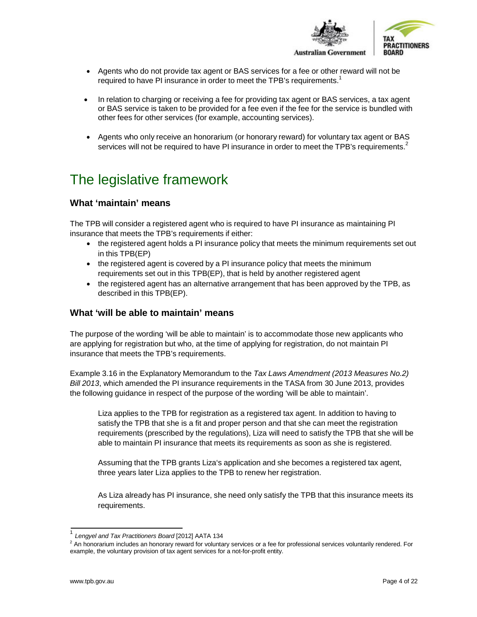

- Agents who do not provide tax agent or BAS services for a fee or other reward will not be required to have PI insurance in order to meet the TPB's requirements.<sup>[1](#page-3-3)</sup>
- In relation to charging or receiving a fee for providing tax agent or BAS services, a tax agent or BAS service is taken to be provided for a fee even if the fee for the service is bundled with other fees for other services (for example, accounting services).
- Agents who only receive an honorarium (or honorary reward) for voluntary tax agent or BAS services will not be required to have PI insurance in order to meet the TPB's requirements[.](#page-3-4)<sup>2</sup>

# <span id="page-3-0"></span>The legislative framework

# <span id="page-3-1"></span>**What 'maintain' means**

The TPB will consider a registered agent who is required to have PI insurance as maintaining PI insurance that meets the TPB's requirements if either:

- the registered agent holds a PI insurance policy that meets the minimum requirements set out in this TPB(EP)
- the registered agent is covered by a PI insurance policy that meets the minimum requirements set out in this TPB(EP), that is held by another registered agent
- the registered agent has an alternative arrangement that has been approved by the TPB, as described in this TPB(EP).

### <span id="page-3-2"></span>**What 'will be able to maintain' means**

The purpose of the wording 'will be able to maintain' is to accommodate those new applicants who are applying for registration but who, at the time of applying for registration, do not maintain PI insurance that meets the TPB's requirements.

Example 3.16 in the Explanatory Memorandum to the *Tax Laws Amendment (2013 Measures No.2) Bill 2013*, which amended the PI insurance requirements in the TASA from 30 June 2013, provides the following guidance in respect of the purpose of the wording 'will be able to maintain'.

Liza applies to the TPB for registration as a registered tax agent. In addition to having to satisfy the TPB that she is a fit and proper person and that she can meet the registration requirements (prescribed by the regulations), Liza will need to satisfy the TPB that she will be able to maintain PI insurance that meets its requirements as soon as she is registered.

Assuming that the TPB grants Liza's application and she becomes a registered tax agent, three years later Liza applies to the TPB to renew her registration.

As Liza already has PI insurance, she need only satisfy the TPB that this insurance meets its requirements.

<span id="page-3-3"></span><sup>1</sup> *Lengyel and Tax Practitioners Board* [2012] AATA 134

<span id="page-3-4"></span> $<sup>2</sup>$  An honorarium includes an honorary reward for voluntary services or a fee for professional services voluntarily rendered. For</sup> example, the voluntary provision of tax agent services for a not-for-profit entity.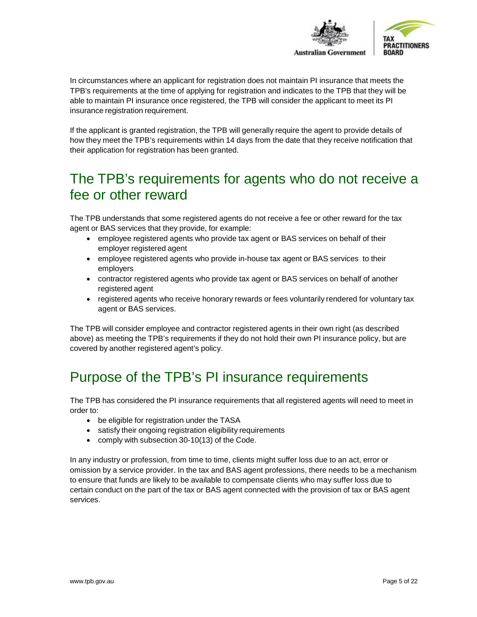

In circumstances where an applicant for registration does not maintain PI insurance that meets the TPB's requirements at the time of applying for registration and indicates to the TPB that they will be able to maintain PI insurance once registered, the TPB will consider the applicant to meet its PI insurance registration requirement.

If the applicant is granted registration, the TPB will generally require the agent to provide details of how they meet the TPB's requirements within 14 days from the date that they receive notification that their application for registration has been granted.

# <span id="page-4-0"></span>The TPB's requirements for agents who do not receive a fee or other reward

The TPB understands that some registered agents do not receive a fee or other reward for the tax agent or BAS services that they provide, for example:

- employee registered agents who provide tax agent or BAS services on behalf of their employer registered agent
- employee registered agents who provide in-house tax agent or BAS services to their employers
- contractor registered agents who provide tax agent or BAS services on behalf of another registered agent
- registered agents who receive honorary rewards or fees voluntarily rendered for voluntary tax agent or BAS services.

The TPB will consider employee and contractor registered agents in their own right (as described above) as meeting the TPB's requirements if they do not hold their own PI insurance policy, but are covered by another registered agent's policy.

# <span id="page-4-1"></span>Purpose of the TPB's PI insurance requirements

The TPB has considered the PI insurance requirements that all registered agents will need to meet in order to:

- be eligible for registration under the TASA
- satisfy their ongoing registration eligibility requirements
- comply with subsection 30-10(13) of the Code.

In any industry or profession, from time to time, clients might suffer loss due to an act, error or omission by a service provider. In the tax and BAS agent professions, there needs to be a mechanism to ensure that funds are likely to be available to compensate clients who may suffer loss due to certain conduct on the part of the tax or BAS agent connected with the provision of tax or BAS agent services.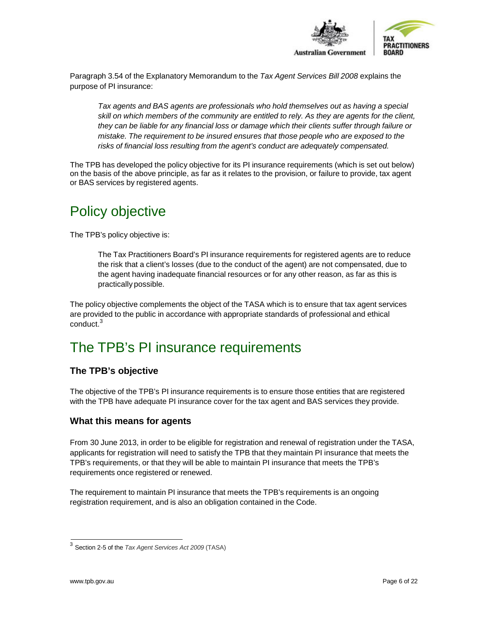

Paragraph 3.54 of the Explanatory Memorandum to the *Tax Agent Services Bill 2008* explains the purpose of PI insurance:

*Tax agents and BAS agents are professionals who hold themselves out as having a special skill on which members of the community are entitled to rely. As they are agents for the client, they can be liable for any financial loss or damage which their clients suffer through failure or mistake. The requirement to be insured ensures that those people who are exposed to the risks of financial loss resulting from the agent's conduct are adequately compensated.*

The TPB has developed the policy objective for its PI insurance requirements (which is set out below) on the basis of the above principle, as far as it relates to the provision, or failure to provide, tax agent or BAS services by registered agents.

# <span id="page-5-0"></span>Policy objective

The TPB's policy objective is:

The Tax Practitioners Board's PI insurance requirements for registered agents are to reduce the risk that a client's losses (due to the conduct of the agent) are not compensated, due to the agent having inadequate financial resources or for any other reason, as far as this is practically possible.

The policy objective complements the object of the TASA which is to ensure that tax agent services are provided to the public in accordance with appropriate standards of professional and ethical  $conduct<sup>3</sup>$  $conduct<sup>3</sup>$  $conduct<sup>3</sup>$ 

# <span id="page-5-1"></span>The TPB's PI insurance requirements

# <span id="page-5-2"></span>**The TPB's objective**

The objective of the TPB's PI insurance requirements is to ensure those entities that are registered with the TPB have adequate PI insurance cover for the tax agent and BAS services they provide.

### <span id="page-5-3"></span>**What this means for agents**

From 30 June 2013, in order to be eligible for registration and renewal of registration under the TASA, applicants for registration will need to satisfy the TPB that they maintain PI insurance that meets the TPB's requirements, or that they will be able to maintain PI insurance that meets the TPB's requirements once registered or renewed.

The requirement to maintain PI insurance that meets the TPB's requirements is an ongoing registration requirement, and is also an obligation contained in the Code.

<span id="page-5-4"></span><sup>3</sup> Section 2-5 of the *Tax Agent Services Act 2009* (TASA)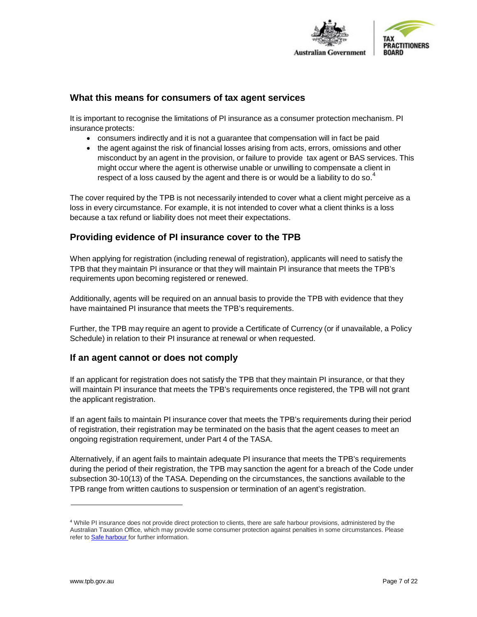

### <span id="page-6-0"></span>**What this means for consumers of tax agent services**

It is important to recognise the limitations of PI insurance as a consumer protection mechanism. PI insurance protects:

- consumers indirectly and it is not a guarantee that compensation will in fact be paid
- the agent against the risk of financial losses arising from acts, errors, omissions and other misconduct by an agent in the provision, or failure to provide tax agent or BAS services. This might occur where the agent is otherwise unable or unwilling to compensate a client in respect of a loss caused by the agent and there is or would be a liability to do so.<sup>[4](#page-6-3)</sup>

The cover required by the TPB is not necessarily intended to cover what a client might perceive as a loss in every circumstance. For example, it is not intended to cover what a client thinks is a loss because a tax refund or liability does not meet their expectations.

### <span id="page-6-1"></span>**Providing evidence of PI insurance cover to the TPB**

When applying for registration (including renewal of registration), applicants will need to satisfy the TPB that they maintain PI insurance or that they will maintain PI insurance that meets the TPB's requirements upon becoming registered or renewed.

Additionally, agents will be required on an annual basis to provide the TPB with evidence that they have maintained PI insurance that meets the TPB's requirements.

Further, the TPB may require an agent to provide a Certificate of Currency (or if unavailable, a Policy Schedule) in relation to their PI insurance at renewal or when requested.

#### <span id="page-6-2"></span>**If an agent cannot or does not comply**

If an applicant for registration does not satisfy the TPB that they maintain PI insurance, or that they will maintain PI insurance that meets the TPB's requirements once registered, the TPB will not grant the applicant registration.

If an agent fails to maintain PI insurance cover that meets the TPB's requirements during their period of registration, their registration may be terminated on the basis that the agent ceases to meet an ongoing registration requirement, under Part 4 of the TASA.

Alternatively, if an agent fails to maintain adequate PI insurance that meets the TPB's requirements during the period of their registration, the TPB may sanction the agent for a breach of the Code under subsection 30-10(13) of the TASA. Depending on the circumstances, the sanctions available to the TPB range from written cautions to suspension or termination of an agent's registration.

<span id="page-6-3"></span><sup>4</sup> While PI insurance does not provide direct protection to clients, there are safe harbour provisions, administered by the Australian Taxation Office, which may provide some consumer protection against penalties in some circumstances. Please refer to Safe [harbour](http://www.tpb.gov.au/TPB/Complaints/0073_Safe_harbour.aspx) for further information.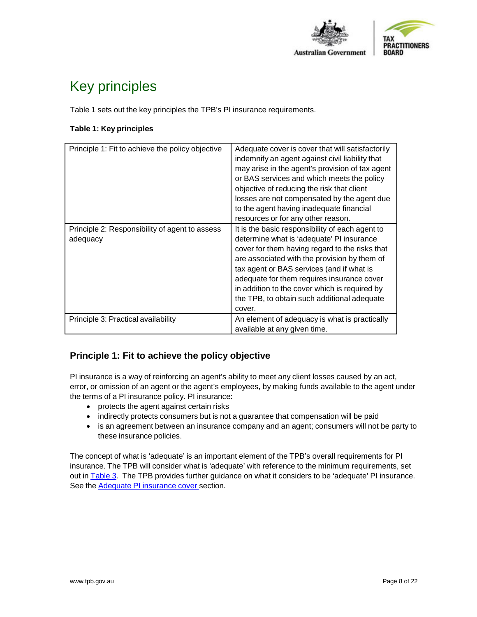

# <span id="page-7-0"></span>Key principles

Table 1 sets out the key principles the TPB's PI insurance requirements.

### **Table 1: Key principles**

| Principle 1: Fit to achieve the policy objective           | Adequate cover is cover that will satisfactorily<br>indemnify an agent against civil liability that<br>may arise in the agent's provision of tax agent<br>or BAS services and which meets the policy<br>objective of reducing the risk that client<br>losses are not compensated by the agent due<br>to the agent having inadequate financial<br>resources or for any other reason.                 |
|------------------------------------------------------------|-----------------------------------------------------------------------------------------------------------------------------------------------------------------------------------------------------------------------------------------------------------------------------------------------------------------------------------------------------------------------------------------------------|
| Principle 2: Responsibility of agent to assess<br>adequacy | It is the basic responsibility of each agent to<br>determine what is 'adequate' PI insurance<br>cover for them having regard to the risks that<br>are associated with the provision by them of<br>tax agent or BAS services (and if what is<br>adequate for them requires insurance cover<br>in addition to the cover which is required by<br>the TPB, to obtain such additional adequate<br>cover. |
| Principle 3: Practical availability                        | An element of adequacy is what is practically<br>available at any given time.                                                                                                                                                                                                                                                                                                                       |

# **Principle 1: Fit to achieve the policy objective**

PI insurance is a way of reinforcing an agent's ability to meet any client losses caused by an act, error, or omission of an agent or the agent's employees, by making funds available to the agent under the terms of a PI insurance policy. PI insurance:

- protects the agent against certain risks
- indirectly protects consumers but is not a guarantee that compensation will be paid
- is an agreement between an insurance company and an agent; consumers will not be party to these insurance policies.

The concept of what is 'adequate' is an important element of the TPB's overall requirements for PI insurance. The TPB will consider what is 'adequate' with reference to the minimum requirements, set out in [Table](#page-13-0) 3. The TPB provides further guidance on what it considers to be 'adequate' PI insurance. See the **Adequate PI** [insurance](#page-8-1) cover section.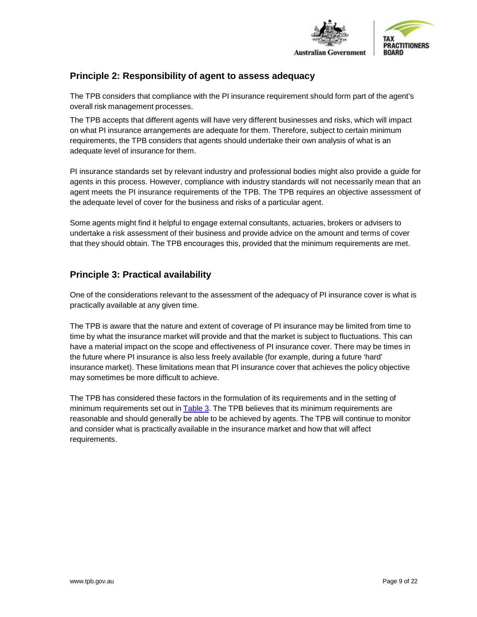

# **Principle 2: Responsibility of agent to assess adequacy**

The TPB considers that compliance with the PI insurance requirement should form part of the agent's overall risk management processes.

The TPB accepts that different agents will have very different businesses and risks, which will impact on what PI insurance arrangements are adequate for them. Therefore, subject to certain minimum requirements, the TPB considers that agents should undertake their own analysis of what is an adequate level of insurance for them.

PI insurance standards set by relevant industry and professional bodies might also provide a guide for agents in this process. However, compliance with industry standards will not necessarily mean that an agent meets the PI insurance requirements of the TPB. The TPB requires an objective assessment of the adequate level of cover for the business and risks of a particular agent.

Some agents might find it helpful to engage external consultants, actuaries, brokers or advisers to undertake a risk assessment of their business and provide advice on the amount and terms of cover that they should obtain. The TPB encourages this, provided that the minimum requirements are met.

# <span id="page-8-0"></span>**Principle 3: Practical availability**

One of the considerations relevant to the assessment of the adequacy of PI insurance cover is what is practically available at any given time.

The TPB is aware that the nature and extent of coverage of PI insurance may be limited from time to time by what the insurance market will provide and that the market is subject to fluctuations. This can have a material impact on the scope and effectiveness of PI insurance cover. There may be times in the future where PI insurance is also less freely available (for example, during a future 'hard' insurance market). These limitations mean that PI insurance cover that achieves the policy objective may sometimes be more difficult to achieve.

<span id="page-8-1"></span>The TPB has considered these factors in the formulation of its requirements and in the setting of minimum requirements set out in [Table](#page-13-0) 3. The TPB believes that its minimum requirements are reasonable and should generally be able to be achieved by agents. The TPB will continue to monitor and consider what is practically available in the insurance market and how that will affect requirements.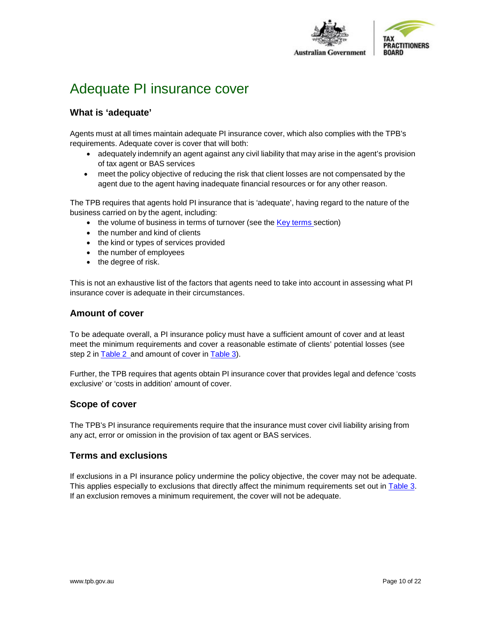

# <span id="page-9-0"></span>Adequate PI insurance cover

# <span id="page-9-1"></span>**What is 'adequate'**

Agents must at all times maintain adequate PI insurance cover, which also complies with the TPB's requirements. Adequate cover is cover that will both:

- adequately indemnify an agent against any civil liability that may arise in the agent's provision of tax agent or BAS services
- meet the policy objective of reducing the risk that client losses are not compensated by the agent due to the agent having inadequate financial resources or for any other reason.

The TPB requires that agents hold PI insurance that is 'adequate', having regard to the nature of the business carried on by the agent, including:

- the volume of business in [terms](#page-18-1) of turnover (see the Key terms section)
- the number and kind of clients
- the kind or types of services provided
- the number of employees
- the degree of risk.

This is not an exhaustive list of the factors that agents need to take into account in assessing what PI insurance cover is adequate in their circumstances.

### <span id="page-9-2"></span>**Amount of cover**

To be adequate overall, a PI insurance policy must have a sufficient amount of cover and at least meet the minimum requirements and cover a reasonable estimate of clients' potential losses (see step 2 in [Table](#page-13-0) 2 and amount of cover in Table 3).

Further, the TPB requires that agents obtain PI insurance cover that provides legal and defence 'costs exclusive' or 'costs in addition' amount of cover.

### <span id="page-9-3"></span>**Scope of cover**

The TPB's PI insurance requirements require that the insurance must cover civil liability arising from any act, error or omission in the provision of tax agent or BAS services.

### <span id="page-9-4"></span>**Terms and exclusions**

If exclusions in a PI insurance policy undermine the policy objective, the cover may not be adequate. This applies especially to exclusions that directly affect the minimum requirements set out in [Table](#page-13-0) 3. If an exclusion removes a minimum requirement, the cover will not be adequate.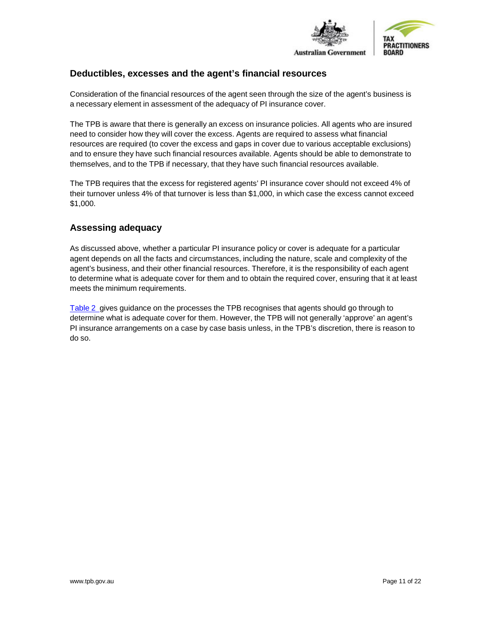

# <span id="page-10-0"></span>**Deductibles, excesses and the agent's financial resources**

Consideration of the financial resources of the agent seen through the size of the agent's business is a necessary element in assessment of the adequacy of PI insurance cover.

The TPB is aware that there is generally an excess on insurance policies. All agents who are insured need to consider how they will cover the excess. Agents are required to assess what financial resources are required (to cover the excess and gaps in cover due to various acceptable exclusions) and to ensure they have such financial resources available. Agents should be able to demonstrate to themselves, and to the TPB if necessary, that they have such financial resources available.

The TPB requires that the excess for registered agents' PI insurance cover should not exceed 4% of their turnover unless 4% of that turnover is less than \$1,000, in which case the excess cannot exceed \$1,000.

# <span id="page-10-1"></span>**Assessing adequacy**

As discussed above, whether a particular PI insurance policy or cover is adequate for a particular agent depends on all the facts and circumstances, including the nature, scale and complexity of the agent's business, and their other financial resources. Therefore, it is the responsibility of each agent to determine what is adequate cover for them and to obtain the required cover, ensuring that it at least meets the minimum requirements.

[Table](#page-11-0) 2 gives guidance on the processes the TPB recognises that agents should go through to determine what is adequate cover for them. However, the TPB will not generally 'approve' an agent's PI insurance arrangements on a case by case basis unless, in the TPB's discretion, there is reason to do so.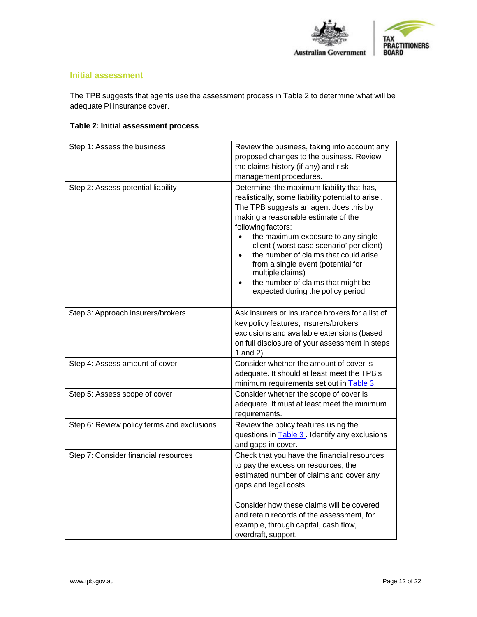

#### **Initial assessment**

The TPB suggests that agents use the assessment process in Table 2 to determine what will be adequate PI insurance cover.

# <span id="page-11-0"></span>**Table 2: Initial assessment process**

| Step 1: Assess the business                | Review the business, taking into account any<br>proposed changes to the business. Review<br>the claims history (if any) and risk<br>management procedures.                                                                                                                                                                                                                                                                                                                |
|--------------------------------------------|---------------------------------------------------------------------------------------------------------------------------------------------------------------------------------------------------------------------------------------------------------------------------------------------------------------------------------------------------------------------------------------------------------------------------------------------------------------------------|
| Step 2: Assess potential liability         | Determine 'the maximum liability that has,<br>realistically, some liability potential to arise'.<br>The TPB suggests an agent does this by<br>making a reasonable estimate of the<br>following factors:<br>the maximum exposure to any single<br>client ('worst case scenario' per client)<br>the number of claims that could arise<br>from a single event (potential for<br>multiple claims)<br>the number of claims that might be<br>expected during the policy period. |
| Step 3: Approach insurers/brokers          | Ask insurers or insurance brokers for a list of<br>key policy features, insurers/brokers<br>exclusions and available extensions (based<br>on full disclosure of your assessment in steps<br>1 and 2).                                                                                                                                                                                                                                                                     |
| Step 4: Assess amount of cover             | Consider whether the amount of cover is<br>adequate. It should at least meet the TPB's<br>minimum requirements set out in <b>Table 3</b> .                                                                                                                                                                                                                                                                                                                                |
| Step 5: Assess scope of cover              | Consider whether the scope of cover is<br>adequate. It must at least meet the minimum<br>requirements.                                                                                                                                                                                                                                                                                                                                                                    |
| Step 6: Review policy terms and exclusions | Review the policy features using the<br>questions in Table 3. Identify any exclusions<br>and gaps in cover.                                                                                                                                                                                                                                                                                                                                                               |
| Step 7: Consider financial resources       | Check that you have the financial resources<br>to pay the excess on resources, the<br>estimated number of claims and cover any<br>gaps and legal costs.<br>Consider how these claims will be covered<br>and retain records of the assessment, for<br>example, through capital, cash flow,<br>overdraft, support.                                                                                                                                                          |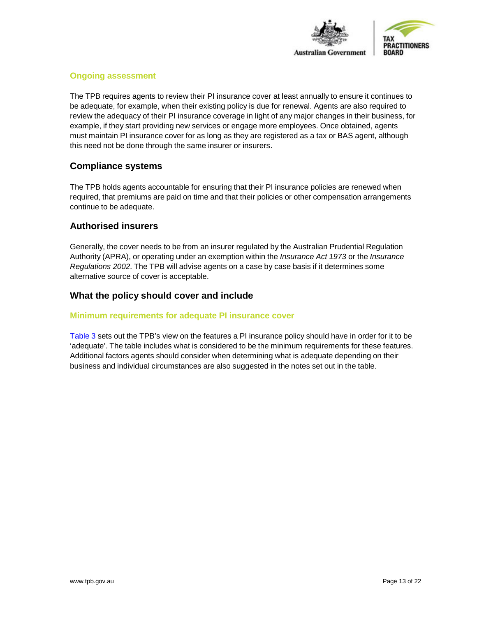

#### **Ongoing assessment**

The TPB requires agents to review their PI insurance cover at least annually to ensure it continues to be adequate, for example, when their existing policy is due for renewal. Agents are also required to review the adequacy of their PI insurance coverage in light of any major changes in their business, for example, if they start providing new services or engage more employees. Once obtained, agents must maintain PI insurance cover for as long as they are registered as a tax or BAS agent, although this need not be done through the same insurer or insurers.

### <span id="page-12-0"></span>**Compliance systems**

The TPB holds agents accountable for ensuring that their PI insurance policies are renewed when required, that premiums are paid on time and that their policies or other compensation arrangements continue to be adequate.

### <span id="page-12-1"></span>**Authorised insurers**

Generally, the cover needs to be from an insurer regulated by the Australian Prudential Regulation Authority (APRA), or operating under an exemption within the *Insurance Act 1973* or the *Insurance Regulations 2002*. The TPB will advise agents on a case by case basis if it determines some alternative source of cover is acceptable.

### <span id="page-12-2"></span>**What the policy should cover and include**

#### <span id="page-12-3"></span>**Minimum requirements for adequate PI insurance cover**

[Table](#page-13-0) 3 sets out the TPB's view on the features a PI insurance policy should have in order for it to be 'adequate'. The table includes what is considered to be the minimum requirements for these features. Additional factors agents should consider when determining what is adequate depending on their business and individual circumstances are also suggested in the notes set out in the table.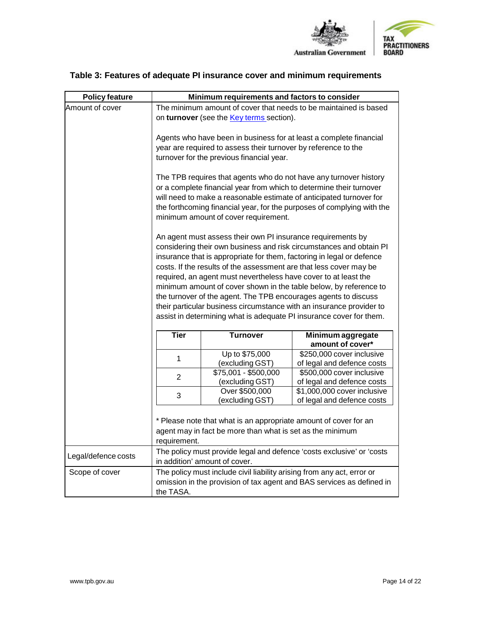

| <b>Policy feature</b> |                                                                                                                                                                                                                                                                                                                                                                                                                                                                                                                                                                                                                                                                                                                                                                                                                                                                                                                                                                                                                                                                                                                                                                       | Minimum requirements and factors to consider |                                                           |  |  |
|-----------------------|-----------------------------------------------------------------------------------------------------------------------------------------------------------------------------------------------------------------------------------------------------------------------------------------------------------------------------------------------------------------------------------------------------------------------------------------------------------------------------------------------------------------------------------------------------------------------------------------------------------------------------------------------------------------------------------------------------------------------------------------------------------------------------------------------------------------------------------------------------------------------------------------------------------------------------------------------------------------------------------------------------------------------------------------------------------------------------------------------------------------------------------------------------------------------|----------------------------------------------|-----------------------------------------------------------|--|--|
| Amount of cover       | The minimum amount of cover that needs to be maintained is based<br>on turnover (see the <b>Key terms</b> section).                                                                                                                                                                                                                                                                                                                                                                                                                                                                                                                                                                                                                                                                                                                                                                                                                                                                                                                                                                                                                                                   |                                              |                                                           |  |  |
|                       | Agents who have been in business for at least a complete financial<br>year are required to assess their turnover by reference to the<br>turnover for the previous financial year.<br>The TPB requires that agents who do not have any turnover history<br>or a complete financial year from which to determine their turnover<br>will need to make a reasonable estimate of anticipated turnover for<br>the forthcoming financial year, for the purposes of complying with the<br>minimum amount of cover requirement.<br>An agent must assess their own PI insurance requirements by<br>considering their own business and risk circumstances and obtain PI<br>insurance that is appropriate for them, factoring in legal or defence<br>costs. If the results of the assessment are that less cover may be<br>required, an agent must nevertheless have cover to at least the<br>minimum amount of cover shown in the table below, by reference to<br>the turnover of the agent. The TPB encourages agents to discuss<br>their particular business circumstance with an insurance provider to<br>assist in determining what is adequate PI insurance cover for them. |                                              |                                                           |  |  |
|                       |                                                                                                                                                                                                                                                                                                                                                                                                                                                                                                                                                                                                                                                                                                                                                                                                                                                                                                                                                                                                                                                                                                                                                                       |                                              |                                                           |  |  |
|                       |                                                                                                                                                                                                                                                                                                                                                                                                                                                                                                                                                                                                                                                                                                                                                                                                                                                                                                                                                                                                                                                                                                                                                                       |                                              |                                                           |  |  |
|                       | <b>Tier</b><br><b>Turnover</b><br>Minimum aggregate<br>amount of cover*                                                                                                                                                                                                                                                                                                                                                                                                                                                                                                                                                                                                                                                                                                                                                                                                                                                                                                                                                                                                                                                                                               |                                              |                                                           |  |  |
|                       | 1                                                                                                                                                                                                                                                                                                                                                                                                                                                                                                                                                                                                                                                                                                                                                                                                                                                                                                                                                                                                                                                                                                                                                                     | Up to \$75,000<br>(excluding GST)            | \$250,000 cover inclusive<br>of legal and defence costs   |  |  |
|                       | $\overline{2}$                                                                                                                                                                                                                                                                                                                                                                                                                                                                                                                                                                                                                                                                                                                                                                                                                                                                                                                                                                                                                                                                                                                                                        | \$75,001 - \$500,000<br>(excluding GST)      | \$500,000 cover inclusive<br>of legal and defence costs   |  |  |
|                       | 3                                                                                                                                                                                                                                                                                                                                                                                                                                                                                                                                                                                                                                                                                                                                                                                                                                                                                                                                                                                                                                                                                                                                                                     | Over \$500,000<br>(excluding GST)            | \$1,000,000 cover inclusive<br>of legal and defence costs |  |  |
|                       | * Please note that what is an appropriate amount of cover for an<br>agent may in fact be more than what is set as the minimum<br>requirement.                                                                                                                                                                                                                                                                                                                                                                                                                                                                                                                                                                                                                                                                                                                                                                                                                                                                                                                                                                                                                         |                                              |                                                           |  |  |
| Legal/defence costs   | The policy must provide legal and defence 'costs exclusive' or 'costs<br>in addition' amount of cover.                                                                                                                                                                                                                                                                                                                                                                                                                                                                                                                                                                                                                                                                                                                                                                                                                                                                                                                                                                                                                                                                |                                              |                                                           |  |  |
| Scope of cover        | The policy must include civil liability arising from any act, error or<br>omission in the provision of tax agent and BAS services as defined in<br>the TASA.                                                                                                                                                                                                                                                                                                                                                                                                                                                                                                                                                                                                                                                                                                                                                                                                                                                                                                                                                                                                          |                                              |                                                           |  |  |

# <span id="page-13-0"></span>**Table 3: Features of adequate PI insurance cover and minimum requirements**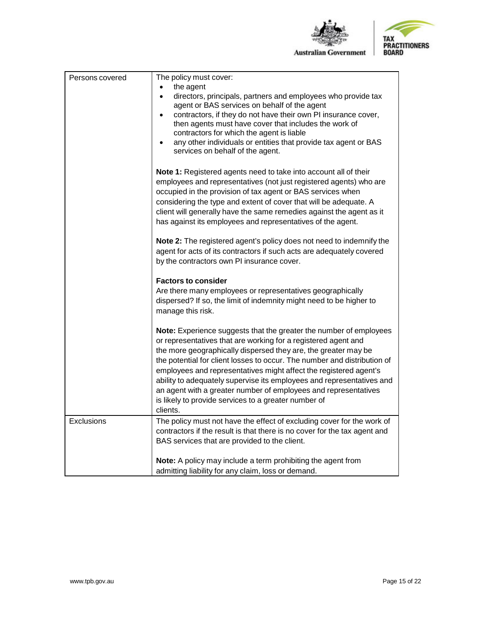

| TAX                  |  |
|----------------------|--|
| <b>PRACTITIONERS</b> |  |
| <b>BOARD</b>         |  |

| Persons covered   | The policy must cover:                                                                                                                                                                                                                                                                                                                                                                                                                                                                                                                                                  |
|-------------------|-------------------------------------------------------------------------------------------------------------------------------------------------------------------------------------------------------------------------------------------------------------------------------------------------------------------------------------------------------------------------------------------------------------------------------------------------------------------------------------------------------------------------------------------------------------------------|
|                   | the agent                                                                                                                                                                                                                                                                                                                                                                                                                                                                                                                                                               |
|                   | directors, principals, partners and employees who provide tax<br>$\bullet$<br>agent or BAS services on behalf of the agent                                                                                                                                                                                                                                                                                                                                                                                                                                              |
|                   | contractors, if they do not have their own PI insurance cover,<br>$\bullet$<br>then agents must have cover that includes the work of<br>contractors for which the agent is liable                                                                                                                                                                                                                                                                                                                                                                                       |
|                   | any other individuals or entities that provide tax agent or BAS<br>services on behalf of the agent.                                                                                                                                                                                                                                                                                                                                                                                                                                                                     |
|                   | Note 1: Registered agents need to take into account all of their<br>employees and representatives (not just registered agents) who are<br>occupied in the provision of tax agent or BAS services when<br>considering the type and extent of cover that will be adequate. A<br>client will generally have the same remedies against the agent as it<br>has against its employees and representatives of the agent.                                                                                                                                                       |
|                   | Note 2: The registered agent's policy does not need to indemnify the<br>agent for acts of its contractors if such acts are adequately covered<br>by the contractors own PI insurance cover.                                                                                                                                                                                                                                                                                                                                                                             |
|                   | <b>Factors to consider</b><br>Are there many employees or representatives geographically<br>dispersed? If so, the limit of indemnity might need to be higher to<br>manage this risk.                                                                                                                                                                                                                                                                                                                                                                                    |
|                   | Note: Experience suggests that the greater the number of employees<br>or representatives that are working for a registered agent and<br>the more geographically dispersed they are, the greater may be<br>the potential for client losses to occur. The number and distribution of<br>employees and representatives might affect the registered agent's<br>ability to adequately supervise its employees and representatives and<br>an agent with a greater number of employees and representatives<br>is likely to provide services to a greater number of<br>clients. |
| <b>Exclusions</b> | The policy must not have the effect of excluding cover for the work of<br>contractors if the result is that there is no cover for the tax agent and<br>BAS services that are provided to the client.                                                                                                                                                                                                                                                                                                                                                                    |
|                   | Note: A policy may include a term prohibiting the agent from<br>admitting liability for any claim, loss or demand.                                                                                                                                                                                                                                                                                                                                                                                                                                                      |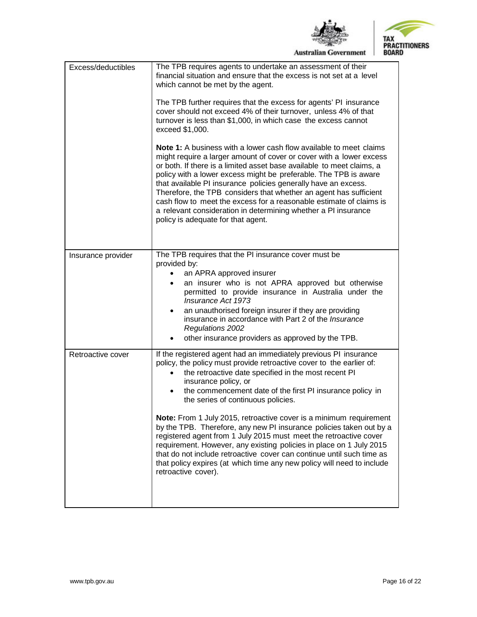



| Excess/deductibles | The TPB requires agents to undertake an assessment of their<br>financial situation and ensure that the excess is not set at a level<br>which cannot be met by the agent.<br>The TPB further requires that the excess for agents' PI insurance<br>cover should not exceed 4% of their turnover, unless 4% of that<br>turnover is less than \$1,000, in which case the excess cannot<br>exceed \$1,000.<br><b>Note 1:</b> A business with a lower cash flow available to meet claims<br>might require a larger amount of cover or cover with a lower excess<br>or both. If there is a limited asset base available to meet claims, a<br>policy with a lower excess might be preferable. The TPB is aware<br>that available PI insurance policies generally have an excess.<br>Therefore, the TPB considers that whether an agent has sufficient<br>cash flow to meet the excess for a reasonable estimate of claims is<br>a relevant consideration in determining whether a PI insurance<br>policy is adequate for that agent. |
|--------------------|------------------------------------------------------------------------------------------------------------------------------------------------------------------------------------------------------------------------------------------------------------------------------------------------------------------------------------------------------------------------------------------------------------------------------------------------------------------------------------------------------------------------------------------------------------------------------------------------------------------------------------------------------------------------------------------------------------------------------------------------------------------------------------------------------------------------------------------------------------------------------------------------------------------------------------------------------------------------------------------------------------------------------|
| Insurance provider | The TPB requires that the PI insurance cover must be<br>provided by:<br>an APRA approved insurer<br>$\bullet$<br>an insurer who is not APRA approved but otherwise<br>permitted to provide insurance in Australia under the<br>Insurance Act 1973<br>an unauthorised foreign insurer if they are providing<br>insurance in accordance with Part 2 of the Insurance<br><b>Regulations 2002</b><br>other insurance providers as approved by the TPB.<br>$\bullet$                                                                                                                                                                                                                                                                                                                                                                                                                                                                                                                                                              |
| Retroactive cover  | If the registered agent had an immediately previous PI insurance<br>policy, the policy must provide retroactive cover to the earlier of:<br>the retroactive date specified in the most recent PI<br>insurance policy, or<br>the commencement date of the first PI insurance policy in<br>the series of continuous policies.<br>Note: From 1 July 2015, retroactive cover is a minimum requirement<br>by the TPB. Therefore, any new PI insurance policies taken out by a<br>registered agent from 1 July 2015 must meet the retroactive cover<br>requirement. However, any existing policies in place on 1 July 2015<br>that do not include retroactive cover can continue until such time as<br>that policy expires (at which time any new policy will need to include<br>retroactive cover).                                                                                                                                                                                                                               |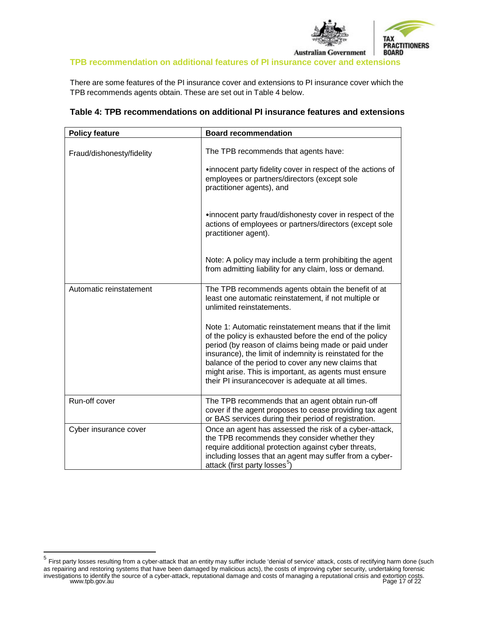

### **TPB recommendation on additional features of PI insurance cover and extensions**

There are some features of the PI insurance cover and extensions to PI insurance cover which the TPB recommends agents obtain. These are set out in Table 4 below.

| <b>Policy feature</b>     | <b>Board recommendation</b>                                                                                                                                                                                                                                                                                                                                                                                |
|---------------------------|------------------------------------------------------------------------------------------------------------------------------------------------------------------------------------------------------------------------------------------------------------------------------------------------------------------------------------------------------------------------------------------------------------|
| Fraud/dishonesty/fidelity | The TPB recommends that agents have:                                                                                                                                                                                                                                                                                                                                                                       |
|                           | .innocent party fidelity cover in respect of the actions of<br>employees or partners/directors (except sole<br>practitioner agents), and                                                                                                                                                                                                                                                                   |
|                           | .innocent party fraud/dishonesty cover in respect of the<br>actions of employees or partners/directors (except sole<br>practitioner agent).                                                                                                                                                                                                                                                                |
|                           | Note: A policy may include a term prohibiting the agent<br>from admitting liability for any claim, loss or demand.                                                                                                                                                                                                                                                                                         |
| Automatic reinstatement   | The TPB recommends agents obtain the benefit of at<br>least one automatic reinstatement, if not multiple or<br>unlimited reinstatements.                                                                                                                                                                                                                                                                   |
|                           | Note 1: Automatic reinstatement means that if the limit<br>of the policy is exhausted before the end of the policy<br>period (by reason of claims being made or paid under<br>insurance), the limit of indemnity is reinstated for the<br>balance of the period to cover any new claims that<br>might arise. This is important, as agents must ensure<br>their PI insurancecover is adequate at all times. |
| Run-off cover             | The TPB recommends that an agent obtain run-off<br>cover if the agent proposes to cease providing tax agent<br>or BAS services during their period of registration.                                                                                                                                                                                                                                        |
| Cyber insurance cover     | Once an agent has assessed the risk of a cyber-attack,<br>the TPB recommends they consider whether they<br>require additional protection against cyber threats,<br>including losses that an agent may suffer from a cyber-<br>attack (first party losses <sup>5</sup> )                                                                                                                                    |

### <span id="page-16-0"></span>**Table 4: TPB recommendations on additional PI insurance features and extensions**

<span id="page-16-1"></span>investigations to identify the source of a cyber-attack, reputational damage and costs of managing a reputational crisis and extortion costs.<br>Page 17 of 22 <sup>5</sup> First party losses resulting from a cyber-attack that an entity may suffer include 'denial of service' attack, costs of rectifying harm done (such as repairing and restoring systems that have been damaged by malicious acts), the costs of improving cyber security, undertaking forensic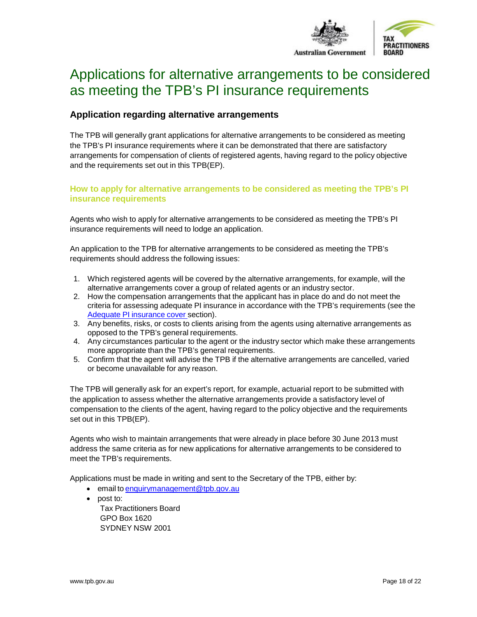

# <span id="page-17-0"></span>Applications for alternative arrangements to be considered as meeting the TPB's PI insurance requirements

# <span id="page-17-1"></span>**Application regarding alternative arrangements**

The TPB will generally grant applications for alternative arrangements to be considered as meeting the TPB's PI insurance requirements where it can be demonstrated that there are satisfactory arrangements for compensation of clients of registered agents, having regard to the policy objective and the requirements set out in this TPB(EP).

#### <span id="page-17-2"></span>**How to apply for alternative arrangements to be considered as meeting the TPB's PI insurance requirements**

Agents who wish to apply for alternative arrangements to be considered as meeting the TPB's PI insurance requirements will need to lodge an application.

An application to the TPB for alternative arrangements to be considered as meeting the TPB's requirements should address the following issues:

- 1. Which registered agents will be covered by the alternative arrangements, for example, will the alternative arrangements cover a group of related agents or an industry sector.
- 2. How the compensation arrangements that the applicant has in place do and do not meet the criteria for assessing adequate PI insurance in accordance with the TPB's requirements (see the Adequate PI [insurance](#page-8-1) cover section).
- 3. Any benefits, risks, or costs to clients arising from the agents using alternative arrangements as opposed to the TPB's general requirements.
- 4. Any circumstances particular to the agent or the industry sector which make these arrangements more appropriate than the TPB's general requirements.
- 5. Confirm that the agent will advise the TPB if the alternative arrangements are cancelled, varied or become unavailable for any reason.

The TPB will generally ask for an expert's report, for example, actuarial report to be submitted with the application to assess whether the alternative arrangements provide a satisfactory level of compensation to the clients of the agent, having regard to the policy objective and the requirements set out in this TPB(EP).

Agents who wish to maintain arrangements that were already in place before 30 June 2013 must address the same criteria as for new applications for alternative arrangements to be considered to meet the TPB's requirements.

Applications must be made in writing and sent to the Secretary of the TPB, either by:

- email to [enquirymanagement@tpb.gov.au](mailto:enquirymanagement@tpb.gov.au)
- <span id="page-17-3"></span>• post to: Tax Practitioners Board GPO Box 1620 SYDNEY NSW 2001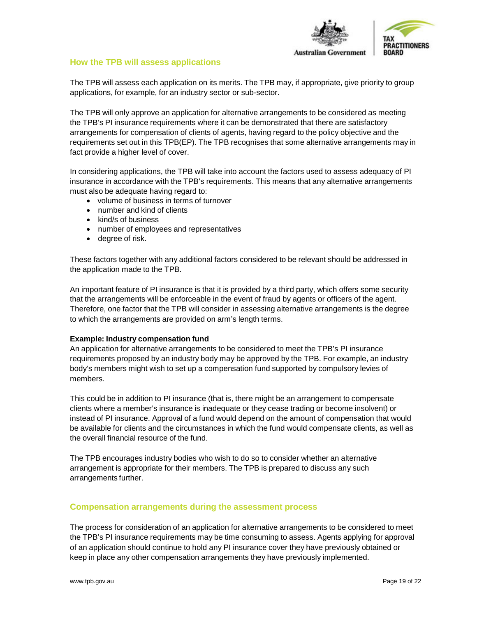

#### **How the TPB will assess applications**

The TPB will assess each application on its merits. The TPB may, if appropriate, give priority to group applications, for example, for an industry sector or sub-sector.

The TPB will only approve an application for alternative arrangements to be considered as meeting the TPB's PI insurance requirements where it can be demonstrated that there are satisfactory arrangements for compensation of clients of agents, having regard to the policy objective and the requirements set out in this TPB(EP). The TPB recognises that some alternative arrangements may in fact provide a higher level of cover.

<span id="page-18-1"></span>In considering applications, the TPB will take into account the factors used to assess adequacy of PI insurance in accordance with the TPB's requirements. This means that any alternative arrangements must also be adequate having regard to:

- volume of business in terms of turnover
- number and kind of clients
- kind/s of business
- number of employees and representatives
- degree of risk.

These factors together with any additional factors considered to be relevant should be addressed in the application made to the TPB.

An important feature of PI insurance is that it is provided by a third party, which offers some security that the arrangements will be enforceable in the event of fraud by agents or officers of the agent. Therefore, one factor that the TPB will consider in assessing alternative arrangements is the degree to which the arrangements are provided on arm's length terms.

#### **Example: Industry compensation fund**

An application for alternative arrangements to be considered to meet the TPB's PI insurance requirements proposed by an industry body may be approved by the TPB. For example, an industry body's members might wish to set up a compensation fund supported by compulsory levies of members.

This could be in addition to PI insurance (that is, there might be an arrangement to compensate clients where a member's insurance is inadequate or they cease trading or become insolvent) or instead of PI insurance. Approval of a fund would depend on the amount of compensation that would be available for clients and the circumstances in which the fund would compensate clients, as well as the overall financial resource of the fund.

The TPB encourages industry bodies who wish to do so to consider whether an alternative arrangement is appropriate for their members. The TPB is prepared to discuss any such arrangements further.

#### <span id="page-18-0"></span>**Compensation arrangements during the assessment process**

The process for consideration of an application for alternative arrangements to be considered to meet the TPB's PI insurance requirements may be time consuming to assess. Agents applying for approval of an application should continue to hold any PI insurance cover they have previously obtained or keep in place any other compensation arrangements they have previously implemented.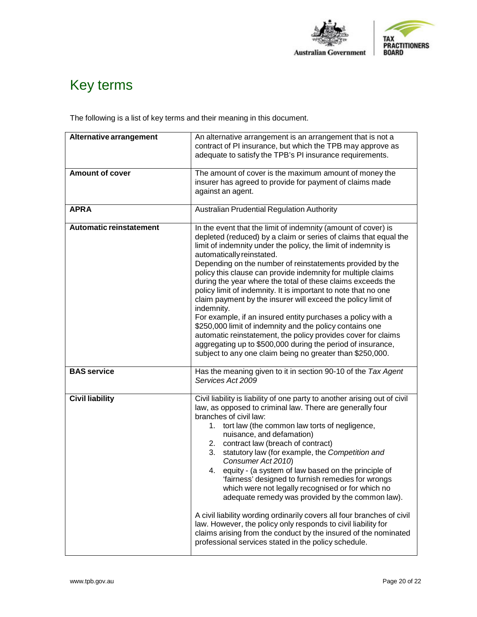

# <span id="page-19-0"></span>Key terms

The following is a list of key terms and their meaning in this document.

| Alternative arrangement        | An alternative arrangement is an arrangement that is not a<br>contract of PI insurance, but which the TPB may approve as<br>adequate to satisfy the TPB's PI insurance requirements.                                                                                                                                                                                                                                                                                                                                                                                                                                                                                                                                                                                                                                                                                                                 |  |  |
|--------------------------------|------------------------------------------------------------------------------------------------------------------------------------------------------------------------------------------------------------------------------------------------------------------------------------------------------------------------------------------------------------------------------------------------------------------------------------------------------------------------------------------------------------------------------------------------------------------------------------------------------------------------------------------------------------------------------------------------------------------------------------------------------------------------------------------------------------------------------------------------------------------------------------------------------|--|--|
| <b>Amount of cover</b>         | The amount of cover is the maximum amount of money the<br>insurer has agreed to provide for payment of claims made<br>against an agent.                                                                                                                                                                                                                                                                                                                                                                                                                                                                                                                                                                                                                                                                                                                                                              |  |  |
| <b>APRA</b>                    | <b>Australian Prudential Regulation Authority</b>                                                                                                                                                                                                                                                                                                                                                                                                                                                                                                                                                                                                                                                                                                                                                                                                                                                    |  |  |
| <b>Automatic reinstatement</b> | In the event that the limit of indemnity (amount of cover) is<br>depleted (reduced) by a claim or series of claims that equal the<br>limit of indemnity under the policy, the limit of indemnity is<br>automatically reinstated.<br>Depending on the number of reinstatements provided by the<br>policy this clause can provide indemnity for multiple claims<br>during the year where the total of these claims exceeds the<br>policy limit of indemnity. It is important to note that no one<br>claim payment by the insurer will exceed the policy limit of<br>indemnity.<br>For example, if an insured entity purchases a policy with a<br>\$250,000 limit of indemnity and the policy contains one<br>automatic reinstatement, the policy provides cover for claims<br>aggregating up to \$500,000 during the period of insurance,<br>subject to any one claim being no greater than \$250,000. |  |  |
| <b>BAS</b> service             | Has the meaning given to it in section 90-10 of the Tax Agent<br>Services Act 2009                                                                                                                                                                                                                                                                                                                                                                                                                                                                                                                                                                                                                                                                                                                                                                                                                   |  |  |
| <b>Civil liability</b>         | Civil liability is liability of one party to another arising out of civil<br>law, as opposed to criminal law. There are generally four<br>branches of civil law:<br>tort law (the common law torts of negligence,<br>1.<br>nuisance, and defamation)<br>contract law (breach of contract)<br>2.<br>3.<br>statutory law (for example, the Competition and<br>Consumer Act 2010)<br>equity - (a system of law based on the principle of<br>4.<br>'fairness' designed to furnish remedies for wrongs<br>which were not legally recognised or for which no<br>adequate remedy was provided by the common law).<br>A civil liability wording ordinarily covers all four branches of civil<br>law. However, the policy only responds to civil liability for<br>claims arising from the conduct by the insured of the nominated<br>professional services stated in the policy schedule.                     |  |  |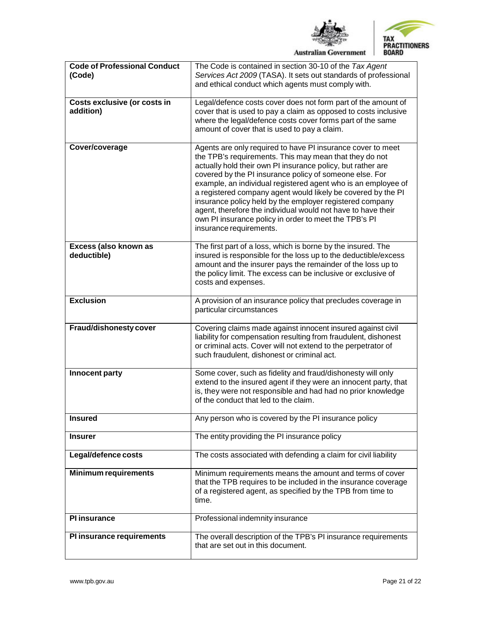



| <b>Code of Professional Conduct</b><br>(Code) | The Code is contained in section 30-10 of the Tax Agent<br>Services Act 2009 (TASA). It sets out standards of professional<br>and ethical conduct which agents must comply with.                                                                                                                                                                                                                                                                                                                                                                                                                 |
|-----------------------------------------------|--------------------------------------------------------------------------------------------------------------------------------------------------------------------------------------------------------------------------------------------------------------------------------------------------------------------------------------------------------------------------------------------------------------------------------------------------------------------------------------------------------------------------------------------------------------------------------------------------|
| Costs exclusive (or costs in<br>addition)     | Legal/defence costs cover does not form part of the amount of<br>cover that is used to pay a claim as opposed to costs inclusive<br>where the legal/defence costs cover forms part of the same<br>amount of cover that is used to pay a claim.                                                                                                                                                                                                                                                                                                                                                   |
| Cover/coverage                                | Agents are only required to have PI insurance cover to meet<br>the TPB's requirements. This may mean that they do not<br>actually hold their own PI insurance policy, but rather are<br>covered by the PI insurance policy of someone else. For<br>example, an individual registered agent who is an employee of<br>a registered company agent would likely be covered by the PI<br>insurance policy held by the employer registered company<br>agent, therefore the individual would not have to have their<br>own PI insurance policy in order to meet the TPB's PI<br>insurance requirements. |
| Excess (also known as<br>deductible)          | The first part of a loss, which is borne by the insured. The<br>insured is responsible for the loss up to the deductible/excess<br>amount and the insurer pays the remainder of the loss up to<br>the policy limit. The excess can be inclusive or exclusive of<br>costs and expenses.                                                                                                                                                                                                                                                                                                           |
| <b>Exclusion</b>                              | A provision of an insurance policy that precludes coverage in<br>particular circumstances                                                                                                                                                                                                                                                                                                                                                                                                                                                                                                        |
| Fraud/dishonesty cover                        | Covering claims made against innocent insured against civil<br>liability for compensation resulting from fraudulent, dishonest<br>or criminal acts. Cover will not extend to the perpetrator of<br>such fraudulent, dishonest or criminal act.                                                                                                                                                                                                                                                                                                                                                   |
| Innocent party                                | Some cover, such as fidelity and fraud/dishonesty will only<br>extend to the insured agent if they were an innocent party, that<br>is, they were not responsible and had had no prior knowledge<br>of the conduct that led to the claim.                                                                                                                                                                                                                                                                                                                                                         |
| <b>Insured</b>                                | Any person who is covered by the PI insurance policy                                                                                                                                                                                                                                                                                                                                                                                                                                                                                                                                             |
| <b>Insurer</b>                                | The entity providing the PI insurance policy                                                                                                                                                                                                                                                                                                                                                                                                                                                                                                                                                     |
| Legal/defence costs                           | The costs associated with defending a claim for civil liability                                                                                                                                                                                                                                                                                                                                                                                                                                                                                                                                  |
| <b>Minimum requirements</b>                   | Minimum requirements means the amount and terms of cover<br>that the TPB requires to be included in the insurance coverage<br>of a registered agent, as specified by the TPB from time to<br>time.                                                                                                                                                                                                                                                                                                                                                                                               |
| <b>Pl</b> insurance                           | Professional indemnity insurance                                                                                                                                                                                                                                                                                                                                                                                                                                                                                                                                                                 |
| PI insurance requirements                     | The overall description of the TPB's PI insurance requirements<br>that are set out in this document.                                                                                                                                                                                                                                                                                                                                                                                                                                                                                             |